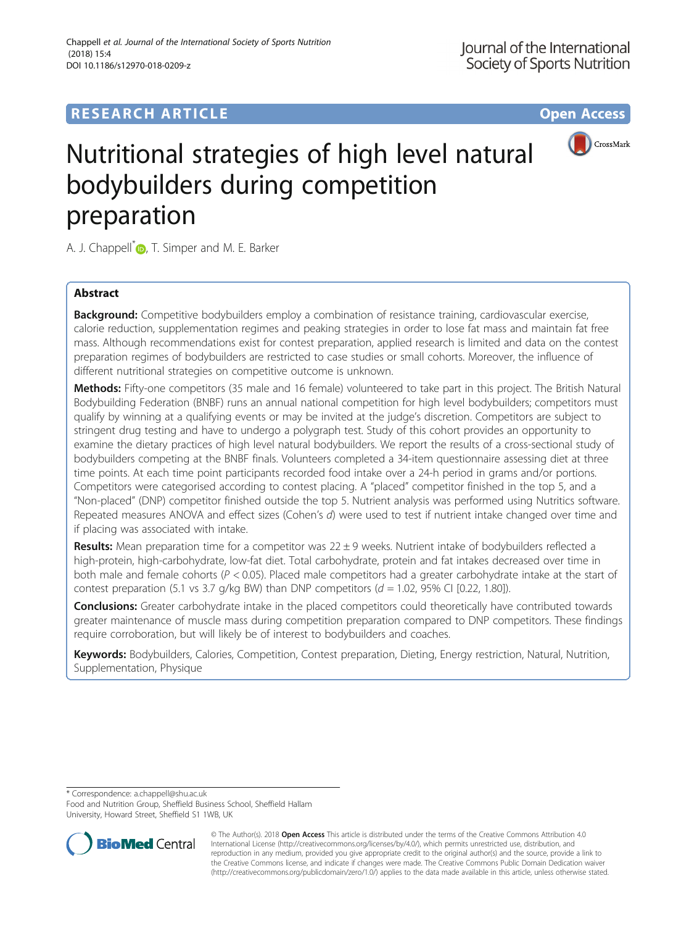# **RESEARCH ARTICLE Example 2014 12:30 The Contract of Contract ACCESS**



# Nutritional strategies of high level natural bodybuilders during competition preparation

A. J. Chappell<sup>\*</sup> [,](http://orcid.org/0000-0003-3999-9395) T. Simper and M. E. Barker

# Abstract

**Background:** Competitive bodybuilders employ a combination of resistance training, cardiovascular exercise, calorie reduction, supplementation regimes and peaking strategies in order to lose fat mass and maintain fat free mass. Although recommendations exist for contest preparation, applied research is limited and data on the contest preparation regimes of bodybuilders are restricted to case studies or small cohorts. Moreover, the influence of different nutritional strategies on competitive outcome is unknown.

Methods: Fifty-one competitors (35 male and 16 female) volunteered to take part in this project. The British Natural Bodybuilding Federation (BNBF) runs an annual national competition for high level bodybuilders; competitors must qualify by winning at a qualifying events or may be invited at the judge's discretion. Competitors are subject to stringent drug testing and have to undergo a polygraph test. Study of this cohort provides an opportunity to examine the dietary practices of high level natural bodybuilders. We report the results of a cross-sectional study of bodybuilders competing at the BNBF finals. Volunteers completed a 34-item questionnaire assessing diet at three time points. At each time point participants recorded food intake over a 24-h period in grams and/or portions. Competitors were categorised according to contest placing. A "placed" competitor finished in the top 5, and a "Non-placed" (DNP) competitor finished outside the top 5. Nutrient analysis was performed using Nutritics software. Repeated measures ANOVA and effect sizes (Cohen's d) were used to test if nutrient intake changed over time and if placing was associated with intake.

**Results:** Mean preparation time for a competitor was  $22 \pm 9$  weeks. Nutrient intake of bodybuilders reflected a high-protein, high-carbohydrate, low-fat diet. Total carbohydrate, protein and fat intakes decreased over time in both male and female cohorts ( $P < 0.05$ ). Placed male competitors had a greater carbohydrate intake at the start of contest preparation (5.1 vs 3.7 g/kg BW) than DNP competitors ( $d = 1.02$ , 95% CI [0.22, 1.80]).

Conclusions: Greater carbohydrate intake in the placed competitors could theoretically have contributed towards greater maintenance of muscle mass during competition preparation compared to DNP competitors. These findings require corroboration, but will likely be of interest to bodybuilders and coaches.

Keywords: Bodybuilders, Calories, Competition, Contest preparation, Dieting, Energy restriction, Natural, Nutrition, Supplementation, Physique

\* Correspondence: [a.chappell@shu.ac.uk](mailto:a.chappell@shu.ac.uk)

Food and Nutrition Group, Sheffield Business School, Sheffield Hallam University, Howard Street, Sheffield S1 1WB, UK



© The Author(s). 2018 **Open Access** This article is distributed under the terms of the Creative Commons Attribution 4.0 International License [\(http://creativecommons.org/licenses/by/4.0/](http://creativecommons.org/licenses/by/4.0/)), which permits unrestricted use, distribution, and reproduction in any medium, provided you give appropriate credit to the original author(s) and the source, provide a link to the Creative Commons license, and indicate if changes were made. The Creative Commons Public Domain Dedication waiver [\(http://creativecommons.org/publicdomain/zero/1.0/](http://creativecommons.org/publicdomain/zero/1.0/)) applies to the data made available in this article, unless otherwise stated.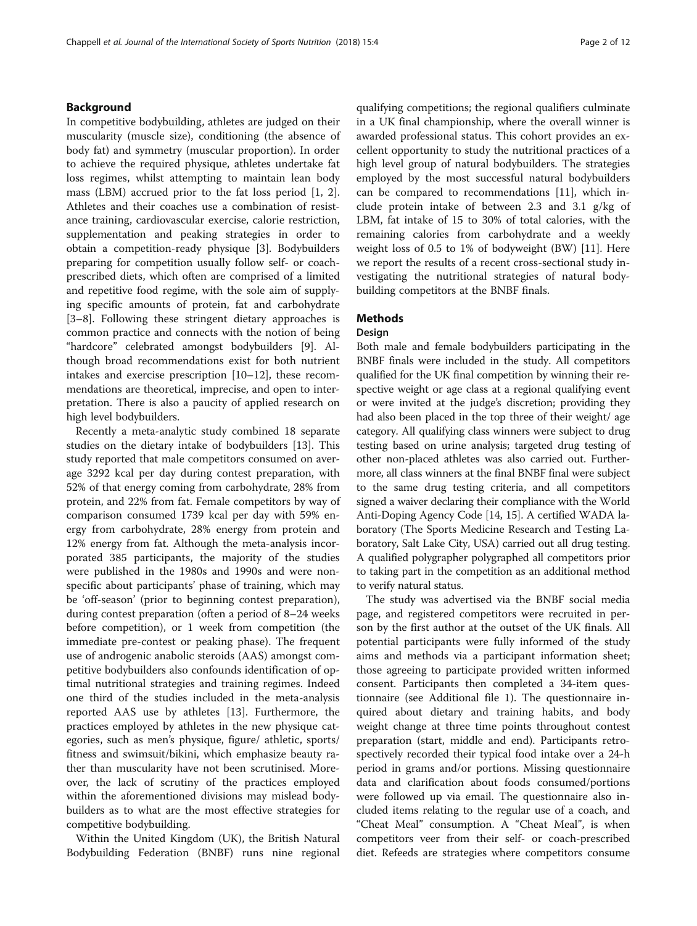## Background

In competitive bodybuilding, athletes are judged on their muscularity (muscle size), conditioning (the absence of body fat) and symmetry (muscular proportion). In order to achieve the required physique, athletes undertake fat loss regimes, whilst attempting to maintain lean body mass (LBM) accrued prior to the fat loss period [\[1](#page-10-0), [2](#page-10-0)]. Athletes and their coaches use a combination of resistance training, cardiovascular exercise, calorie restriction, supplementation and peaking strategies in order to obtain a competition-ready physique [[3\]](#page-10-0). Bodybuilders preparing for competition usually follow self- or coachprescribed diets, which often are comprised of a limited and repetitive food regime, with the sole aim of supplying specific amounts of protein, fat and carbohydrate [[3](#page-10-0)–[8\]](#page-10-0). Following these stringent dietary approaches is common practice and connects with the notion of being "hardcore" celebrated amongst bodybuilders [\[9](#page-10-0)]. Although broad recommendations exist for both nutrient intakes and exercise prescription [\[10](#page-10-0)–[12\]](#page-10-0), these recommendations are theoretical, imprecise, and open to interpretation. There is also a paucity of applied research on high level bodybuilders.

Recently a meta-analytic study combined 18 separate studies on the dietary intake of bodybuilders [\[13](#page-10-0)]. This study reported that male competitors consumed on average 3292 kcal per day during contest preparation, with 52% of that energy coming from carbohydrate, 28% from protein, and 22% from fat. Female competitors by way of comparison consumed 1739 kcal per day with 59% energy from carbohydrate, 28% energy from protein and 12% energy from fat. Although the meta-analysis incorporated 385 participants, the majority of the studies were published in the 1980s and 1990s and were nonspecific about participants' phase of training, which may be 'off-season' (prior to beginning contest preparation), during contest preparation (often a period of 8–24 weeks before competition), or 1 week from competition (the immediate pre-contest or peaking phase). The frequent use of androgenic anabolic steroids (AAS) amongst competitive bodybuilders also confounds identification of optimal nutritional strategies and training regimes. Indeed one third of the studies included in the meta-analysis reported AAS use by athletes [[13\]](#page-10-0). Furthermore, the practices employed by athletes in the new physique categories, such as men's physique, figure/ athletic, sports/ fitness and swimsuit/bikini, which emphasize beauty rather than muscularity have not been scrutinised. Moreover, the lack of scrutiny of the practices employed within the aforementioned divisions may mislead bodybuilders as to what are the most effective strategies for competitive bodybuilding.

Within the United Kingdom (UK), the British Natural Bodybuilding Federation (BNBF) runs nine regional

qualifying competitions; the regional qualifiers culminate in a UK final championship, where the overall winner is awarded professional status. This cohort provides an excellent opportunity to study the nutritional practices of a high level group of natural bodybuilders. The strategies employed by the most successful natural bodybuilders can be compared to recommendations [[11\]](#page-10-0), which include protein intake of between 2.3 and 3.1 g/kg of LBM, fat intake of 15 to 30% of total calories, with the remaining calories from carbohydrate and a weekly weight loss of 0.5 to 1% of bodyweight (BW) [[11\]](#page-10-0). Here we report the results of a recent cross-sectional study investigating the nutritional strategies of natural bodybuilding competitors at the BNBF finals.

## **Methods**

#### Design

Both male and female bodybuilders participating in the BNBF finals were included in the study. All competitors qualified for the UK final competition by winning their respective weight or age class at a regional qualifying event or were invited at the judge's discretion; providing they had also been placed in the top three of their weight/ age category. All qualifying class winners were subject to drug testing based on urine analysis; targeted drug testing of other non-placed athletes was also carried out. Furthermore, all class winners at the final BNBF final were subject to the same drug testing criteria, and all competitors signed a waiver declaring their compliance with the World Anti-Doping Agency Code [[14, 15](#page-10-0)]. A certified WADA laboratory (The Sports Medicine Research and Testing Laboratory, Salt Lake City, USA) carried out all drug testing. A qualified polygrapher polygraphed all competitors prior to taking part in the competition as an additional method to verify natural status.

The study was advertised via the BNBF social media page, and registered competitors were recruited in person by the first author at the outset of the UK finals. All potential participants were fully informed of the study aims and methods via a participant information sheet; those agreeing to participate provided written informed consent. Participants then completed a 34-item questionnaire (see Additional file [1](#page-9-0)). The questionnaire inquired about dietary and training habits, and body weight change at three time points throughout contest preparation (start, middle and end). Participants retrospectively recorded their typical food intake over a 24-h period in grams and/or portions. Missing questionnaire data and clarification about foods consumed/portions were followed up via email. The questionnaire also included items relating to the regular use of a coach, and "Cheat Meal" consumption. A "Cheat Meal", is when competitors veer from their self- or coach-prescribed diet. Refeeds are strategies where competitors consume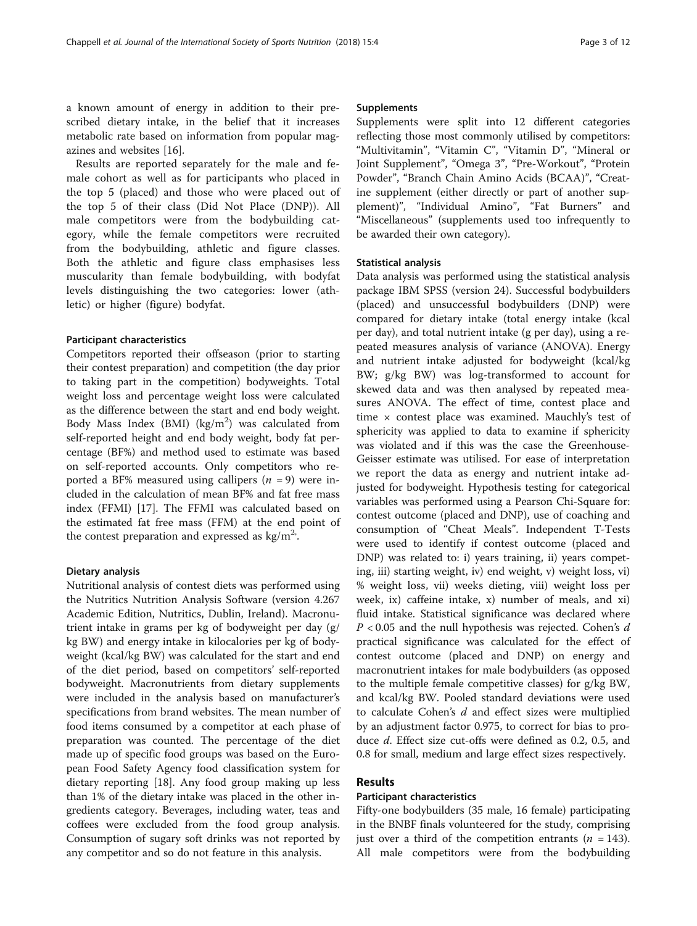a known amount of energy in addition to their prescribed dietary intake, in the belief that it increases metabolic rate based on information from popular magazines and websites [[16](#page-10-0)].

Results are reported separately for the male and female cohort as well as for participants who placed in the top 5 (placed) and those who were placed out of the top 5 of their class (Did Not Place (DNP)). All male competitors were from the bodybuilding category, while the female competitors were recruited from the bodybuilding, athletic and figure classes. Both the athletic and figure class emphasises less muscularity than female bodybuilding, with bodyfat levels distinguishing the two categories: lower (athletic) or higher (figure) bodyfat.

#### Participant characteristics

Competitors reported their offseason (prior to starting their contest preparation) and competition (the day prior to taking part in the competition) bodyweights. Total weight loss and percentage weight loss were calculated as the difference between the start and end body weight. Body Mass Index (BMI) (kg/m<sup>2</sup>) was calculated from self-reported height and end body weight, body fat percentage (BF%) and method used to estimate was based on self-reported accounts. Only competitors who reported a BF% measured using callipers  $(n = 9)$  were included in the calculation of mean BF% and fat free mass index (FFMI) [\[17\]](#page-10-0). The FFMI was calculated based on the estimated fat free mass (FFM) at the end point of the contest preparation and expressed as  $\text{kg/m}^2$ .

## Dietary analysis

Nutritional analysis of contest diets was performed using the Nutritics Nutrition Analysis Software (version 4.267 Academic Edition, Nutritics, Dublin, Ireland). Macronutrient intake in grams per kg of bodyweight per day (g/ kg BW) and energy intake in kilocalories per kg of bodyweight (kcal/kg BW) was calculated for the start and end of the diet period, based on competitors' self-reported bodyweight. Macronutrients from dietary supplements were included in the analysis based on manufacturer's specifications from brand websites. The mean number of food items consumed by a competitor at each phase of preparation was counted. The percentage of the diet made up of specific food groups was based on the European Food Safety Agency food classification system for dietary reporting [\[18](#page-10-0)]. Any food group making up less than 1% of the dietary intake was placed in the other ingredients category. Beverages, including water, teas and coffees were excluded from the food group analysis. Consumption of sugary soft drinks was not reported by any competitor and so do not feature in this analysis.

#### Supplements

Supplements were split into 12 different categories reflecting those most commonly utilised by competitors: "Multivitamin", "Vitamin C", "Vitamin D", "Mineral or Joint Supplement", "Omega 3", "Pre-Workout", "Protein Powder", "Branch Chain Amino Acids (BCAA)", "Creatine supplement (either directly or part of another supplement)", "Individual Amino", "Fat Burners" and "Miscellaneous" (supplements used too infrequently to be awarded their own category).

## Statistical analysis

Data analysis was performed using the statistical analysis package IBM SPSS (version 24). Successful bodybuilders (placed) and unsuccessful bodybuilders (DNP) were compared for dietary intake (total energy intake (kcal per day), and total nutrient intake (g per day), using a repeated measures analysis of variance (ANOVA). Energy and nutrient intake adjusted for bodyweight (kcal/kg BW; g/kg BW) was log-transformed to account for skewed data and was then analysed by repeated measures ANOVA. The effect of time, contest place and time  $\times$  contest place was examined. Mauchly's test of sphericity was applied to data to examine if sphericity was violated and if this was the case the Greenhouse-Geisser estimate was utilised. For ease of interpretation we report the data as energy and nutrient intake adjusted for bodyweight. Hypothesis testing for categorical variables was performed using a Pearson Chi-Square for: contest outcome (placed and DNP), use of coaching and consumption of "Cheat Meals". Independent T-Tests were used to identify if contest outcome (placed and DNP) was related to: i) years training, ii) years competing, iii) starting weight, iv) end weight, v) weight loss, vi) % weight loss, vii) weeks dieting, viii) weight loss per week, ix) caffeine intake, x) number of meals, and xi) fluid intake. Statistical significance was declared where  $P < 0.05$  and the null hypothesis was rejected. Cohen's d practical significance was calculated for the effect of contest outcome (placed and DNP) on energy and macronutrient intakes for male bodybuilders (as opposed to the multiple female competitive classes) for g/kg BW, and kcal/kg BW. Pooled standard deviations were used to calculate Cohen's d and effect sizes were multiplied by an adjustment factor 0.975, to correct for bias to produce d. Effect size cut-offs were defined as 0.2, 0.5, and 0.8 for small, medium and large effect sizes respectively.

## Results

## Participant characteristics

Fifty-one bodybuilders (35 male, 16 female) participating in the BNBF finals volunteered for the study, comprising just over a third of the competition entrants ( $n = 143$ ). All male competitors were from the bodybuilding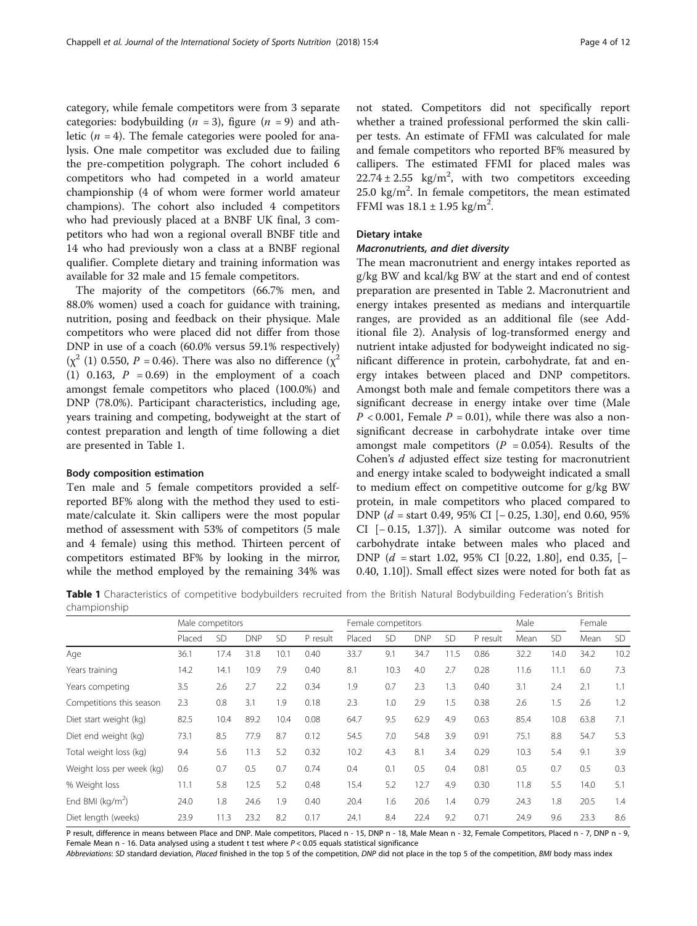category, while female competitors were from 3 separate categories: bodybuilding  $(n = 3)$ , figure  $(n = 9)$  and athletic  $(n = 4)$ . The female categories were pooled for analysis. One male competitor was excluded due to failing the pre-competition polygraph. The cohort included 6 competitors who had competed in a world amateur championship (4 of whom were former world amateur champions). The cohort also included 4 competitors who had previously placed at a BNBF UK final, 3 competitors who had won a regional overall BNBF title and 14 who had previously won a class at a BNBF regional qualifier. Complete dietary and training information was available for 32 male and 15 female competitors.

The majority of the competitors (66.7% men, and 88.0% women) used a coach for guidance with training, nutrition, posing and feedback on their physique. Male competitors who were placed did not differ from those DNP in use of a coach (60.0% versus 59.1% respectively)  $(\chi^2$  (1) 0.550, P = 0.46). There was also no difference  $(\chi^2)$ (1) 0.163,  $P = 0.69$ ) in the employment of a coach amongst female competitors who placed (100.0%) and DNP (78.0%). Participant characteristics, including age, years training and competing, bodyweight at the start of contest preparation and length of time following a diet are presented in Table 1.

## Body composition estimation

Ten male and 5 female competitors provided a selfreported BF% along with the method they used to estimate/calculate it. Skin callipers were the most popular method of assessment with 53% of competitors (5 male and 4 female) using this method. Thirteen percent of competitors estimated BF% by looking in the mirror, while the method employed by the remaining 34% was not stated. Competitors did not specifically report whether a trained professional performed the skin calliper tests. An estimate of FFMI was calculated for male and female competitors who reported BF% measured by callipers. The estimated FFMI for placed males was  $22.74 \pm 2.55$  kg/m<sup>2</sup>, with two competitors exceeding  $25.0 \text{ kg/m}^2$ . In female competitors, the mean estimated FFMI was  $18.1 \pm 1.95$  kg/m<sup>2</sup>.

## Dietary intake

## Macronutrients, and diet diversity

The mean macronutrient and energy intakes reported as g/kg BW and kcal/kg BW at the start and end of contest preparation are presented in Table [2](#page-4-0). Macronutrient and energy intakes presented as medians and interquartile ranges, are provided as an additional file (see Additional file [2\)](#page-9-0). Analysis of log-transformed energy and nutrient intake adjusted for bodyweight indicated no significant difference in protein, carbohydrate, fat and energy intakes between placed and DNP competitors. Amongst both male and female competitors there was a significant decrease in energy intake over time (Male  $P < 0.001$ , Female  $P = 0.01$ , while there was also a nonsignificant decrease in carbohydrate intake over time amongst male competitors ( $P = 0.054$ ). Results of the Cohen's d adjusted effect size testing for macronutrient and energy intake scaled to bodyweight indicated a small to medium effect on competitive outcome for g/kg BW protein, in male competitors who placed compared to DNP (d = start 0.49, 95% CI [− 0.25, 1.30], end 0.60, 95% CI [− 0.15, 1.37]). A similar outcome was noted for carbohydrate intake between males who placed and DNP ( $d = start\ 1.02$ , 95% CI [0.22, 1.80], end 0.35, [-0.40, 1.10]). Small effect sizes were noted for both fat as

Table 1 Characteristics of competitive bodybuilders recruited from the British Natural Bodybuilding Federation's British championship

|                           | Male competitors |           |            |           |          | Female competitors |      | Male       |           | Female   |      |           |      |           |
|---------------------------|------------------|-----------|------------|-----------|----------|--------------------|------|------------|-----------|----------|------|-----------|------|-----------|
|                           | Placed           | <b>SD</b> | <b>DNP</b> | <b>SD</b> | P result | Placed             | SD   | <b>DNP</b> | <b>SD</b> | P result | Mean | <b>SD</b> | Mean | <b>SD</b> |
| Age                       | 36.1             | 17.4      | 31.8       | 10.1      | 0.40     | 33.7               | 9.1  | 34.7       | 11.5      | 0.86     | 32.2 | 14.0      | 34.2 | 10.2      |
| Years training            | 14.2             | 14.1      | 10.9       | 7.9       | 0.40     | 8.1                | 10.3 | 4.0        | 2.7       | 0.28     | 11.6 | 11.1      | 6.0  | 7.3       |
| Years competing           | 3.5              | 2.6       | 2.7        | 2.2       | 0.34     | 1.9                | 0.7  | 2.3        | 1.3       | 0.40     | 3.1  | 2.4       | 2.1  | 1.1       |
| Competitions this season  | 2.3              | 0.8       | 3.1        | 1.9       | 0.18     | 2.3                | 1.0  | 2.9        | 1.5       | 0.38     | 2.6  | 1.5       | 2.6  | 1.2       |
| Diet start weight (kg)    | 82.5             | 10.4      | 89.2       | 10.4      | 0.08     | 64.7               | 9.5  | 62.9       | 4.9       | 0.63     | 85.4 | 10.8      | 63.8 | 7.1       |
| Diet end weight (kg)      | 73.1             | 8.5       | 77.9       | 8.7       | 0.12     | 54.5               | 7.0  | 54.8       | 3.9       | 0.91     | 75.1 | 8.8       | 54.7 | 5.3       |
| Total weight loss (kg)    | 9.4              | 5.6       | 11.3       | 5.2       | 0.32     | 10.2               | 4.3  | 8.1        | 3.4       | 0.29     | 10.3 | 5.4       | 9.1  | 3.9       |
| Weight loss per week (kg) | 0.6              | 0.7       | 0.5        | 0.7       | 0.74     | 0.4                | 0.1  | 0.5        | 0.4       | 0.81     | 0.5  | 0.7       | 0.5  | 0.3       |
| % Weight loss             | 11.1             | 5.8       | 12.5       | 5.2       | 0.48     | 15.4               | 5.2  | 12.7       | 4.9       | 0.30     | 11.8 | 5.5       | 14.0 | 5.1       |
| End BMI ( $kg/m2$ )       | 24.0             | 1.8       | 24.6       | 1.9       | 0.40     | 20.4               | 1.6  | 20.6       | 1.4       | 0.79     | 24.3 | 1.8       | 20.5 | 1.4       |
| Diet length (weeks)       | 23.9             | 11.3      | 23.2       | 8.2       | 0.17     | 24.1               | 8.4  | 22.4       | 9.2       | 0.71     | 24.9 | 9.6       | 23.3 | 8.6       |

P result, difference in means between Place and DNP. Male competitors, Placed n - 15, DNP n - 18, Male Mean n - 32, Female Competitors, Placed n - 7, DNP n - 9, Female Mean n - 16. Data analysed using a student t test where  $P < 0.05$  equals statistical significance

Abbreviations: SD standard deviation, Placed finished in the top 5 of the competition, DNP did not place in the top 5 of the competition, BMI body mass index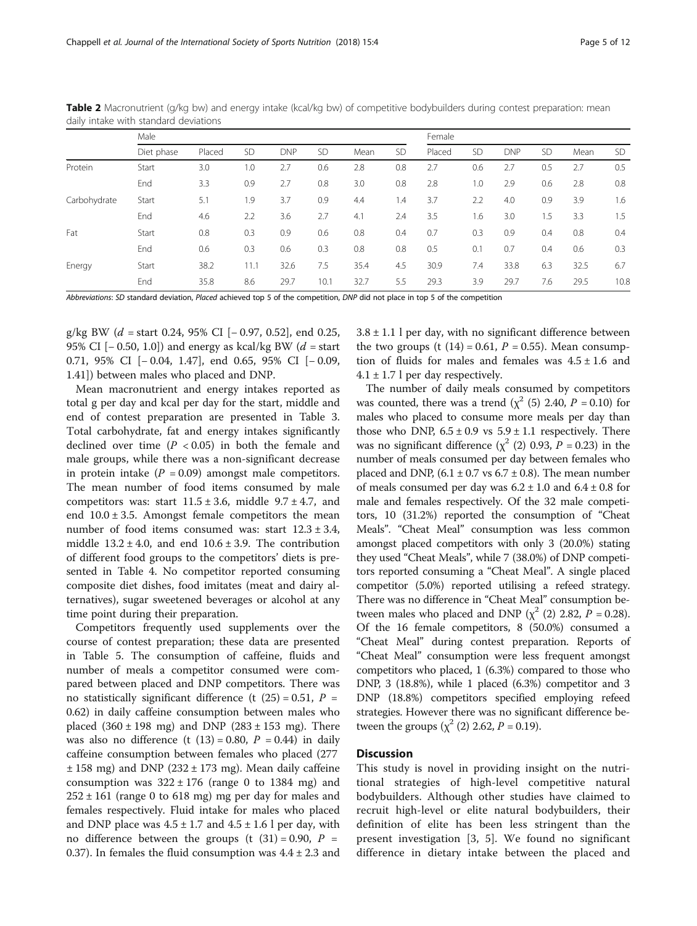|              | Male       |        |           |            |           |      |           |        | Female    |            |           |      |           |  |  |
|--------------|------------|--------|-----------|------------|-----------|------|-----------|--------|-----------|------------|-----------|------|-----------|--|--|
|              | Diet phase | Placed | <b>SD</b> | <b>DNP</b> | <b>SD</b> | Mean | <b>SD</b> | Placed | <b>SD</b> | <b>DNP</b> | <b>SD</b> | Mean | <b>SD</b> |  |  |
| Protein      | Start      | 3.0    | 1.0       | 2.7        | 0.6       | 2.8  | 0.8       | 2.7    | 0.6       | 2.7        | 0.5       | 2.7  | 0.5       |  |  |
|              | End        | 3.3    | 0.9       | 2.7        | 0.8       | 3.0  | 0.8       | 2.8    | 1.0       | 2.9        | 0.6       | 2.8  | 0.8       |  |  |
| Carbohydrate | Start      | 5.1    | 1.9       | 3.7        | 0.9       | 4.4  | 1.4       | 3.7    | 2.2       | 4.0        | 0.9       | 3.9  | 1.6       |  |  |
|              | End        | 4.6    | 2.2       | 3.6        | 2.7       | 4.1  | 2.4       | 3.5    | 1.6       | 3.0        | 1.5       | 3.3  | 1.5       |  |  |
| Fat          | Start      | 0.8    | 0.3       | 0.9        | 0.6       | 0.8  | 0.4       | 0.7    | 0.3       | 0.9        | 0.4       | 0.8  | 0.4       |  |  |
|              | End        | 0.6    | 0.3       | 0.6        | 0.3       | 0.8  | 0.8       | 0.5    | 0.1       | 0.7        | 0.4       | 0.6  | 0.3       |  |  |
| Energy       | Start      | 38.2   | 11.1      | 32.6       | 7.5       | 35.4 | 4.5       | 30.9   | 7.4       | 33.8       | 6.3       | 32.5 | 6.7       |  |  |
|              | End        | 35.8   | 8.6       | 29.7       | 10.1      | 32.7 | 5.5       | 29.3   | 3.9       | 29.7       | 7.6       | 29.5 | 10.8      |  |  |

<span id="page-4-0"></span>Table 2 Macronutrient (g/kg bw) and energy intake (kcal/kg bw) of competitive bodybuilders during contest preparation: mean daily intake with standard deviations

Abbreviations: SD standard deviation, Placed achieved top 5 of the competition, DNP did not place in top 5 of the competition

g/kg BW (*d* = start 0.24, 95% CI [− 0.97, 0.52], end 0.25, 95% CI  $[-0.50, 1.0]$  and energy as kcal/kg BW  $(d = start$ 0.71, 95% CI [− 0.04, 1.47], end 0.65, 95% CI [− 0.09, 1.41]) between males who placed and DNP.

Mean macronutrient and energy intakes reported as total g per day and kcal per day for the start, middle and end of contest preparation are presented in Table [3](#page-5-0). Total carbohydrate, fat and energy intakes significantly declined over time  $(P < 0.05)$  in both the female and male groups, while there was a non-significant decrease in protein intake  $(P = 0.09)$  amongst male competitors. The mean number of food items consumed by male competitors was: start  $11.5 \pm 3.6$ , middle  $9.7 \pm 4.7$ , and end  $10.0 \pm 3.5$ . Amongst female competitors the mean number of food items consumed was: start  $12.3 \pm 3.4$ , middle  $13.2 \pm 4.0$ , and end  $10.6 \pm 3.9$ . The contribution of different food groups to the competitors' diets is presented in Table [4](#page-6-0). No competitor reported consuming composite diet dishes, food imitates (meat and dairy alternatives), sugar sweetened beverages or alcohol at any time point during their preparation.

Competitors frequently used supplements over the course of contest preparation; these data are presented in Table [5.](#page-6-0) The consumption of caffeine, fluids and number of meals a competitor consumed were compared between placed and DNP competitors. There was no statistically significant difference (t  $(25) = 0.51$ ,  $P =$ 0.62) in daily caffeine consumption between males who placed  $(360 \pm 198 \text{ mg})$  and DNP  $(283 \pm 153 \text{ mg})$ . There was also no difference (t  $(13) = 0.80$ ,  $P = 0.44$ ) in daily caffeine consumption between females who placed (277  $\pm$  158 mg) and DNP (232  $\pm$  173 mg). Mean daily caffeine consumption was  $322 \pm 176$  (range 0 to 1384 mg) and  $252 \pm 161$  (range 0 to 618 mg) mg per day for males and females respectively. Fluid intake for males who placed and DNP place was  $4.5 \pm 1.7$  and  $4.5 \pm 1.6$  l per day, with no difference between the groups (t  $(31) = 0.90$ ,  $P =$ 0.37). In females the fluid consumption was  $4.4 \pm 2.3$  and  $3.8 \pm 1.1$  l per day, with no significant difference between the two groups (t  $(14) = 0.61$ ,  $P = 0.55$ ). Mean consumption of fluids for males and females was  $4.5 \pm 1.6$  and  $4.1 \pm 1.7$  l per day respectively.

The number of daily meals consumed by competitors was counted, there was a trend ( $\chi^2$  (5) 2.40, P = 0.10) for males who placed to consume more meals per day than those who DNP,  $6.5 \pm 0.9$  vs  $5.9 \pm 1.1$  respectively. There was no significant difference ( $\chi^2$  (2) 0.93, P = 0.23) in the number of meals consumed per day between females who placed and DNP,  $(6.1 \pm 0.7 \text{ vs } 6.7 \pm 0.8)$ . The mean number of meals consumed per day was  $6.2 \pm 1.0$  and  $6.4 \pm 0.8$  for male and females respectively. Of the 32 male competitors, 10 (31.2%) reported the consumption of "Cheat Meals". "Cheat Meal" consumption was less common amongst placed competitors with only 3 (20.0%) stating they used "Cheat Meals", while 7 (38.0%) of DNP competitors reported consuming a "Cheat Meal". A single placed competitor (5.0%) reported utilising a refeed strategy. There was no difference in "Cheat Meal" consumption between males who placed and DNP ( $\chi^2$  (2) 2.82, P = 0.28). Of the 16 female competitors, 8 (50.0%) consumed a "Cheat Meal" during contest preparation. Reports of "Cheat Meal" consumption were less frequent amongst competitors who placed, 1 (6.3%) compared to those who DNP, 3 (18.8%), while 1 placed (6.3%) competitor and 3 DNP (18.8%) competitors specified employing refeed strategies. However there was no significant difference between the groups ( $\chi^2$  (2) 2.62, *P* = 0.19).

## **Discussion**

This study is novel in providing insight on the nutritional strategies of high-level competitive natural bodybuilders. Although other studies have claimed to recruit high-level or elite natural bodybuilders, their definition of elite has been less stringent than the present investigation [\[3](#page-10-0), [5\]](#page-10-0). We found no significant difference in dietary intake between the placed and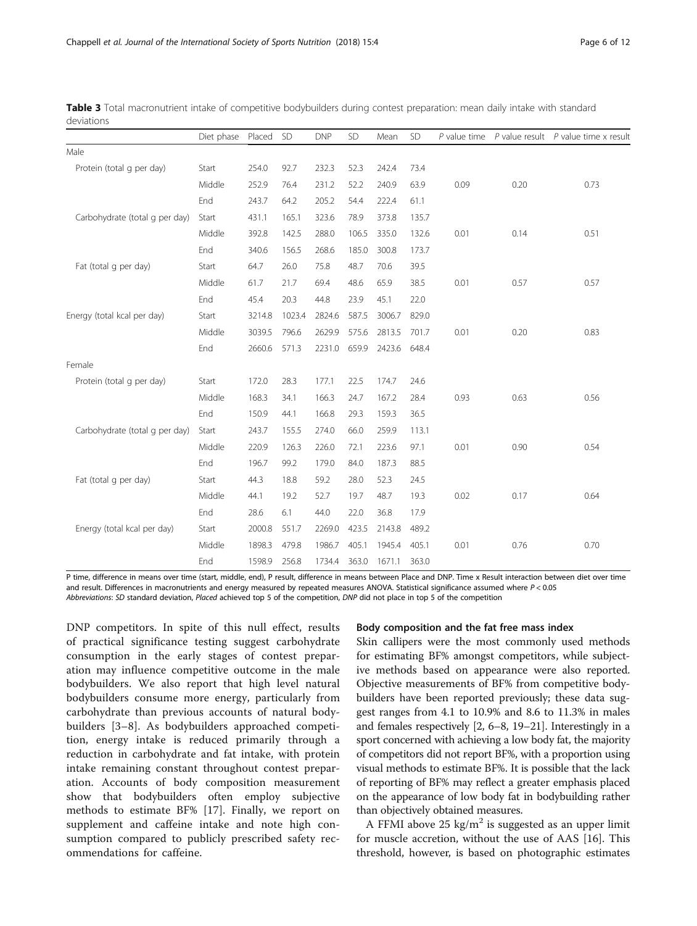|                                | Diet phase | Placed | SD     | <b>DNP</b> | SD    | Mean   | SD    |      |      | P value time $P$ value result $P$ value time x result |
|--------------------------------|------------|--------|--------|------------|-------|--------|-------|------|------|-------------------------------------------------------|
| Male                           |            |        |        |            |       |        |       |      |      |                                                       |
| Protein (total g per day)      | Start      | 254.0  | 92.7   | 232.3      | 52.3  | 242.4  | 73.4  |      |      |                                                       |
|                                | Middle     | 252.9  | 76.4   | 231.2      | 52.2  | 240.9  | 63.9  | 0.09 | 0.20 | 0.73                                                  |
|                                | End        | 243.7  | 64.2   | 205.2      | 54.4  | 222.4  | 61.1  |      |      |                                                       |
| Carbohydrate (total g per day) | Start      | 431.1  | 165.1  | 323.6      | 78.9  | 373.8  | 135.7 |      |      |                                                       |
|                                | Middle     | 392.8  | 142.5  | 288.0      | 106.5 | 335.0  | 132.6 | 0.01 | 0.14 | 0.51                                                  |
|                                | End        | 340.6  | 156.5  | 268.6      | 185.0 | 300.8  | 173.7 |      |      |                                                       |
| Fat (total q per day)          | Start      | 64.7   | 26.0   | 75.8       | 48.7  | 70.6   | 39.5  |      |      |                                                       |
|                                | Middle     | 61.7   | 21.7   | 69.4       | 48.6  | 65.9   | 38.5  | 0.01 | 0.57 | 0.57                                                  |
|                                | End        | 45.4   | 20.3   | 44.8       | 23.9  | 45.1   | 22.0  |      |      |                                                       |
| Energy (total kcal per day)    | Start      | 3214.8 | 1023.4 | 2824.6     | 587.5 | 3006.7 | 829.0 |      |      |                                                       |
|                                | Middle     | 3039.5 | 796.6  | 2629.9     | 575.6 | 2813.5 | 701.7 | 0.01 | 0.20 | 0.83                                                  |
|                                | End        | 2660.6 | 571.3  | 2231.0     | 659.9 | 2423.6 | 648.4 |      |      |                                                       |
| Female                         |            |        |        |            |       |        |       |      |      |                                                       |
| Protein (total g per day)      | Start      | 172.0  | 28.3   | 177.1      | 22.5  | 174.7  | 24.6  |      |      |                                                       |
|                                | Middle     | 168.3  | 34.1   | 166.3      | 24.7  | 167.2  | 28.4  | 0.93 | 0.63 | 0.56                                                  |
|                                | End        | 150.9  | 44.1   | 166.8      | 29.3  | 159.3  | 36.5  |      |      |                                                       |
| Carbohydrate (total g per day) | Start      | 243.7  | 155.5  | 274.0      | 66.0  | 259.9  | 113.1 |      |      |                                                       |
|                                | Middle     | 220.9  | 126.3  | 226.0      | 72.1  | 223.6  | 97.1  | 0.01 | 0.90 | 0.54                                                  |
|                                | End        | 196.7  | 99.2   | 179.0      | 84.0  | 187.3  | 88.5  |      |      |                                                       |
| Fat (total q per day)          | Start      | 44.3   | 18.8   | 59.2       | 28.0  | 52.3   | 24.5  |      |      |                                                       |
|                                | Middle     | 44.1   | 19.2   | 52.7       | 19.7  | 48.7   | 19.3  | 0.02 | 0.17 | 0.64                                                  |
|                                | End        | 28.6   | 6.1    | 44.0       | 22.0  | 36.8   | 17.9  |      |      |                                                       |
| Energy (total kcal per day)    | Start      | 2000.8 | 551.7  | 2269.0     | 423.5 | 2143.8 | 489.2 |      |      |                                                       |
|                                | Middle     | 1898.3 | 479.8  | 1986.7     | 405.1 | 1945.4 | 405.1 | 0.01 | 0.76 | 0.70                                                  |
|                                | End        | 1598.9 | 256.8  | 1734.4     | 363.0 | 1671.1 | 363.0 |      |      |                                                       |

<span id="page-5-0"></span>Table 3 Total macronutrient intake of competitive bodybuilders during contest preparation: mean daily intake with standard deviations

P time, difference in means over time (start, middle, end), P result, difference in means between Place and DNP. Time x Result interaction between diet over time and result. Differences in macronutrients and energy measured by repeated measures ANOVA. Statistical significance assumed where  $P < 0.05$ Abbreviations: SD standard deviation, Placed achieved top 5 of the competition, DNP did not place in top 5 of the competition

DNP competitors. In spite of this null effect, results of practical significance testing suggest carbohydrate consumption in the early stages of contest preparation may influence competitive outcome in the male bodybuilders. We also report that high level natural bodybuilders consume more energy, particularly from carbohydrate than previous accounts of natural bodybuilders [\[3](#page-10-0)–[8](#page-10-0)]. As bodybuilders approached competition, energy intake is reduced primarily through a reduction in carbohydrate and fat intake, with protein intake remaining constant throughout contest preparation. Accounts of body composition measurement show that bodybuilders often employ subjective methods to estimate BF% [\[17](#page-10-0)]. Finally, we report on supplement and caffeine intake and note high consumption compared to publicly prescribed safety recommendations for caffeine.

### Body composition and the fat free mass index

Skin callipers were the most commonly used methods for estimating BF% amongst competitors, while subjective methods based on appearance were also reported. Objective measurements of BF% from competitive bodybuilders have been reported previously; these data suggest ranges from 4.1 to 10.9% and 8.6 to 11.3% in males and females respectively [\[2](#page-10-0), [6](#page-10-0)–[8, 19](#page-10-0)–[21\]](#page-10-0). Interestingly in a sport concerned with achieving a low body fat, the majority of competitors did not report BF%, with a proportion using visual methods to estimate BF%. It is possible that the lack of reporting of BF% may reflect a greater emphasis placed on the appearance of low body fat in bodybuilding rather than objectively obtained measures.

A FFMI above 25 kg/m<sup>2</sup> is suggested as an upper limit for muscle accretion, without the use of AAS [[16\]](#page-10-0). This threshold, however, is based on photographic estimates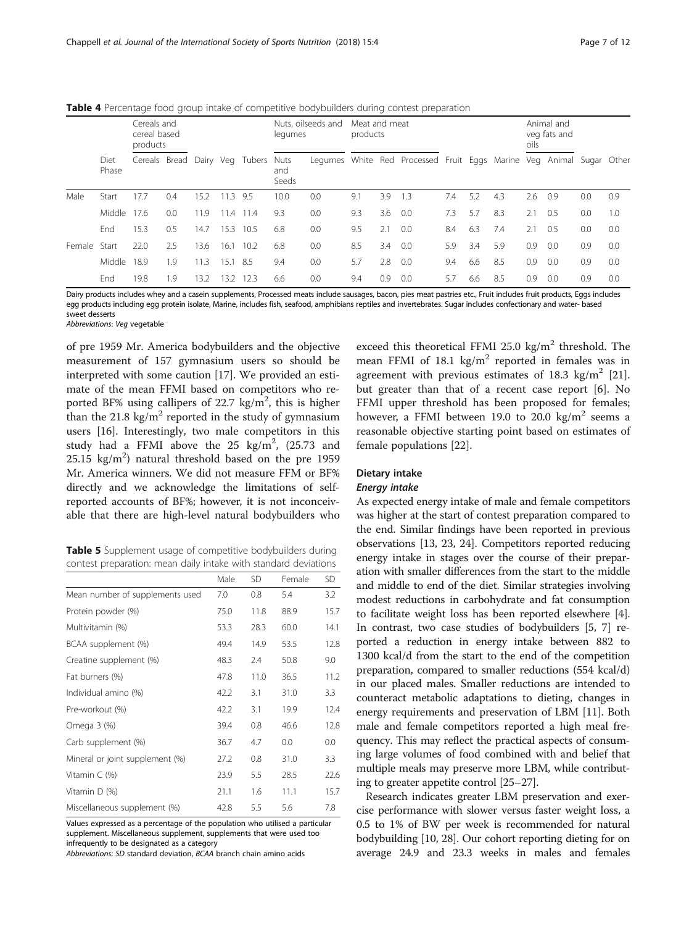|        |               | Cereals and<br>cereal based<br>products |     |      |      |                                |                             |         |     |     | legumes                                                      | Nuts, oilseeds and | Meat and meat<br>products |     |     |     |     |     | oils | Animal and<br>veg fats and |  |  |
|--------|---------------|-----------------------------------------|-----|------|------|--------------------------------|-----------------------------|---------|-----|-----|--------------------------------------------------------------|--------------------|---------------------------|-----|-----|-----|-----|-----|------|----------------------------|--|--|
|        | Diet<br>Phase |                                         |     |      |      | Cereals Bread Dairy Veg Tubers | <b>Nuts</b><br>and<br>Seeds | Legumes |     |     | White Red Processed Fruit Eggs Marine Veg Animal Sugar Other |                    |                           |     |     |     |     |     |      |                            |  |  |
| Male   | Start         | 17.7                                    | 0.4 | 15.2 | 11.3 | 9.5                            | 10.0                        | 0.0     | 9.1 | 3.9 | -1.3                                                         | 7.4                | 5.2                       | 4.3 | 2.6 | 0.9 | 0.0 | 0.9 |      |                            |  |  |
|        | Middle        | 17.6                                    | 0.0 | 11.9 |      | 11.4 11.4                      | 9.3                         | 0.0     | 9.3 | 3.6 | 0.0                                                          | 7.3                | 5.7                       | 8.3 | 2.1 | 0.5 | 0.0 | 1.0 |      |                            |  |  |
|        | <b>Fnd</b>    | 15.3                                    | 0.5 | 14.7 |      | 15.3 10.5                      | 6.8                         | 0.0     | 9.5 | 2.1 | 0.0                                                          | 8.4                | 6.3                       | 7.4 | 2.1 | 0.5 | 0.0 | 0.0 |      |                            |  |  |
| Female | Start         | 22.0                                    | 2.5 | 13.6 | 16.1 | 10.2                           | 6.8                         | 0.0     | 8.5 | 3.4 | 0.0                                                          | 5.9                | 3.4                       | 5.9 | 0.9 | 0.0 | 0.9 | 0.0 |      |                            |  |  |
|        | Middle        | 18.9                                    | 1.9 | 11.3 | 15.1 | 8.5                            | 9.4                         | 0.0     | 5.7 | 2.8 | 0.0                                                          | 9.4                | 6.6                       | 8.5 | 0.9 | 0.0 | 0.9 | 0.0 |      |                            |  |  |
|        | End           | 19.8                                    | 1.9 | 3.2  | 13.2 | 12.3                           | 6.6                         | 0.0     | 9.4 | 0.9 | 0.0                                                          | 5.7                | 6.6                       | 8.5 | 0.9 | 0.0 | 0.9 | 0.0 |      |                            |  |  |

<span id="page-6-0"></span>Table 4 Percentage food group intake of competitive bodybuilders during contest preparation

Dairy products includes whey and a casein supplements, Processed meats include sausages, bacon, pies meat pastries etc., Fruit includes fruit products, Eggs includes egg products including egg protein isolate, Marine, includes fish, seafood, amphibians reptiles and invertebrates. Sugar includes confectionary and water- based sweet desserts

Abbreviations: Veg vegetable

of pre 1959 Mr. America bodybuilders and the objective measurement of 157 gymnasium users so should be interpreted with some caution [\[17](#page-10-0)]. We provided an estimate of the mean FFMI based on competitors who reported BF% using callipers of 22.7  $\text{kg/m}^2$ , this is higher than the 21.8 kg/m<sup>2</sup> reported in the study of gymnasium users [[16\]](#page-10-0). Interestingly, two male competitors in this study had a FFMI above the  $25 \text{ kg/m}^2$ , (25.73 and  $25.15 \text{ kg/m}^2$ ) natural threshold based on the pre 1959 Mr. America winners. We did not measure FFM or BF% directly and we acknowledge the limitations of selfreported accounts of BF%; however, it is not inconceivable that there are high-level natural bodybuilders who

Table 5 Supplement usage of competitive bodybuilders during contest preparation: mean daily intake with standard deviations

|                                 | Male | <b>SD</b> | Female | SD            |
|---------------------------------|------|-----------|--------|---------------|
| Mean number of supplements used | 7.0  | 0.8       | 5.4    | $3.2^{\circ}$ |
| Protein powder (%)              | 75.0 | 11.8      | 88.9   | 15.7          |
| Multivitamin (%)                | 53.3 | 28.3      | 60.0   | 14.1          |
| BCAA supplement (%)             | 49.4 | 14.9      | 53.5   | 12.8          |
| Creatine supplement (%)         | 48.3 | 2.4       | 50.8   | 9.0           |
| Fat burners (%)                 | 47.8 | 11.0      | 36.5   | 11.2          |
| Individual amino (%)            | 42.2 | 3.1       | 31.0   | 3.3           |
| Pre-workout (%)                 | 42.2 | 3.1       | 19.9   | 12.4          |
| Omega 3 (%)                     | 39.4 | 0.8       | 46.6   | 12.8          |
| Carb supplement (%)             | 36.7 | 4.7       | 0.0    | 0.0           |
| Mineral or joint supplement (%) | 27.2 | 0.8       | 31.0   | 3.3           |
| Vitamin $C$ (%)                 | 23.9 | 5.5       | 28.5   | 22.6          |
| Vitamin D (%)                   | 21.1 | 1.6       | 11.1   | 15.7          |
| Miscellaneous supplement (%)    | 42.8 | 5.5       | 5.6    | 7.8           |

Values expressed as a percentage of the population who utilised a particular supplement. Miscellaneous supplement, supplements that were used too infrequently to be designated as a category

Abbreviations: SD standard deviation, BCAA branch chain amino acids

exceed this theoretical FFMI 25.0  $\text{kg/m}^2$  threshold. The mean FFMI of 18.1 kg/m<sup>2</sup> reported in females was in agreement with previous estimates of 18.3 kg/m<sup>2</sup> [\[21](#page-10-0)]. but greater than that of a recent case report [[6\]](#page-10-0). No FFMI upper threshold has been proposed for females; however, a FFMI between 19.0 to 20.0  $\text{kg/m}^2$  seems a reasonable objective starting point based on estimates of female populations [\[22](#page-10-0)].

## Dietary intake

#### Energy intake

As expected energy intake of male and female competitors was higher at the start of contest preparation compared to the end. Similar findings have been reported in previous observations [[13, 23](#page-10-0), [24\]](#page-10-0). Competitors reported reducing energy intake in stages over the course of their preparation with smaller differences from the start to the middle and middle to end of the diet. Similar strategies involving modest reductions in carbohydrate and fat consumption to facilitate weight loss has been reported elsewhere [[4](#page-10-0)]. In contrast, two case studies of bodybuilders [[5, 7](#page-10-0)] reported a reduction in energy intake between 882 to 1300 kcal/d from the start to the end of the competition preparation, compared to smaller reductions (554 kcal/d) in our placed males. Smaller reductions are intended to counteract metabolic adaptations to dieting, changes in energy requirements and preservation of LBM [\[11\]](#page-10-0). Both male and female competitors reported a high meal frequency. This may reflect the practical aspects of consuming large volumes of food combined with and belief that multiple meals may preserve more LBM, while contributing to greater appetite control [\[25](#page-10-0)–[27](#page-10-0)].

Research indicates greater LBM preservation and exercise performance with slower versus faster weight loss, a 0.5 to 1% of BW per week is recommended for natural bodybuilding [[10, 28](#page-10-0)]. Our cohort reporting dieting for on average 24.9 and 23.3 weeks in males and females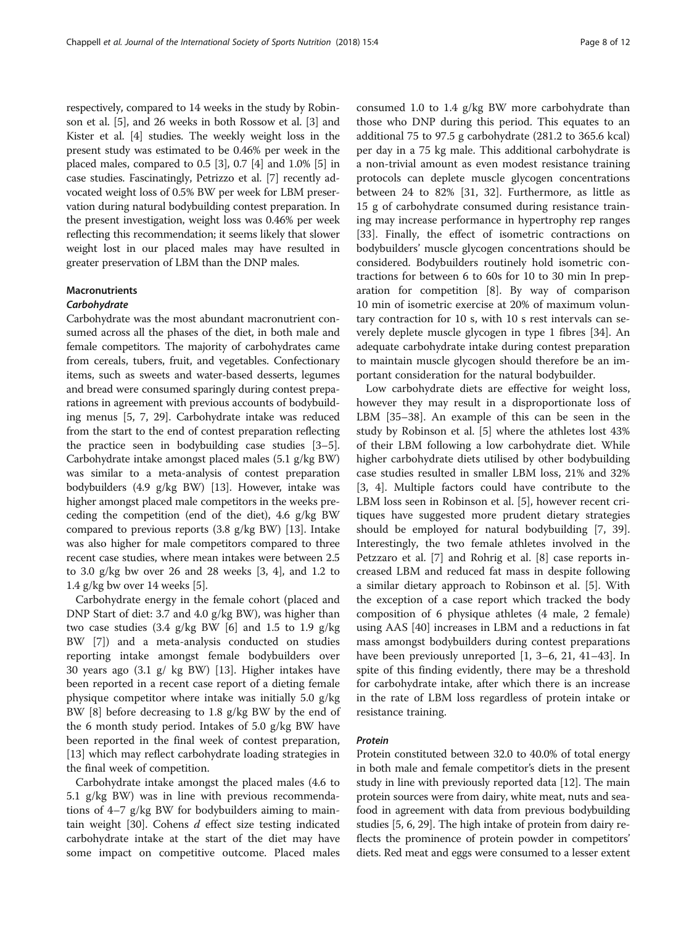respectively, compared to 14 weeks in the study by Robinson et al. [\[5](#page-10-0)], and 26 weeks in both Rossow et al. [\[3](#page-10-0)] and Kister et al. [\[4](#page-10-0)] studies. The weekly weight loss in the present study was estimated to be 0.46% per week in the placed males, compared to 0.5 [\[3](#page-10-0)], 0.7 [[4](#page-10-0)] and 1.0% [[5](#page-10-0)] in case studies. Fascinatingly, Petrizzo et al. [\[7](#page-10-0)] recently advocated weight loss of 0.5% BW per week for LBM preservation during natural bodybuilding contest preparation. In the present investigation, weight loss was 0.46% per week reflecting this recommendation; it seems likely that slower weight lost in our placed males may have resulted in greater preservation of LBM than the DNP males.

## Macronutrients

## **Carbohydrate**

Carbohydrate was the most abundant macronutrient consumed across all the phases of the diet, in both male and female competitors. The majority of carbohydrates came from cereals, tubers, fruit, and vegetables. Confectionary items, such as sweets and water-based desserts, legumes and bread were consumed sparingly during contest preparations in agreement with previous accounts of bodybuilding menus [\[5](#page-10-0), [7, 29\]](#page-10-0). Carbohydrate intake was reduced from the start to the end of contest preparation reflecting the practice seen in bodybuilding case studies [[3](#page-10-0)–[5](#page-10-0)]. Carbohydrate intake amongst placed males (5.1 g/kg BW) was similar to a meta-analysis of contest preparation bodybuilders (4.9 g/kg BW) [\[13\]](#page-10-0). However, intake was higher amongst placed male competitors in the weeks preceding the competition (end of the diet), 4.6 g/kg BW compared to previous reports (3.8 g/kg BW) [\[13\]](#page-10-0). Intake was also higher for male competitors compared to three recent case studies, where mean intakes were between 2.5 to 3.0 g/kg bw over 26 and 28 weeks [\[3](#page-10-0), [4](#page-10-0)], and 1.2 to 1.4 g/kg bw over 14 weeks [[5](#page-10-0)].

Carbohydrate energy in the female cohort (placed and DNP Start of diet: 3.7 and 4.0 g/kg BW), was higher than two case studies  $(3.4 \text{ g/kg BW } [6]$  $(3.4 \text{ g/kg BW } [6]$  $(3.4 \text{ g/kg BW } [6]$  and  $1.5$  to  $1.9 \text{ g/kg}$ BW [\[7](#page-10-0)]) and a meta-analysis conducted on studies reporting intake amongst female bodybuilders over 30 years ago (3.1 g/ kg BW) [[13\]](#page-10-0). Higher intakes have been reported in a recent case report of a dieting female physique competitor where intake was initially 5.0 g/kg BW [\[8](#page-10-0)] before decreasing to 1.8 g/kg BW by the end of the 6 month study period. Intakes of 5.0 g/kg BW have been reported in the final week of contest preparation, [[13\]](#page-10-0) which may reflect carbohydrate loading strategies in the final week of competition.

Carbohydrate intake amongst the placed males (4.6 to 5.1 g/kg BW) was in line with previous recommendations of 4–7 g/kg BW for bodybuilders aiming to maintain weight  $[30]$ . Cohens d effect size testing indicated carbohydrate intake at the start of the diet may have some impact on competitive outcome. Placed males

consumed 1.0 to 1.4 g/kg BW more carbohydrate than those who DNP during this period. This equates to an additional 75 to 97.5 g carbohydrate (281.2 to 365.6 kcal) per day in a 75 kg male. This additional carbohydrate is a non-trivial amount as even modest resistance training protocols can deplete muscle glycogen concentrations between 24 to 82% [[31, 32\]](#page-10-0). Furthermore, as little as 15 g of carbohydrate consumed during resistance training may increase performance in hypertrophy rep ranges [[33\]](#page-10-0). Finally, the effect of isometric contractions on bodybuilders' muscle glycogen concentrations should be considered. Bodybuilders routinely hold isometric contractions for between 6 to 60s for 10 to 30 min In preparation for competition [[8](#page-10-0)]. By way of comparison 10 min of isometric exercise at 20% of maximum voluntary contraction for 10 s, with 10 s rest intervals can severely deplete muscle glycogen in type 1 fibres [\[34](#page-10-0)]. An adequate carbohydrate intake during contest preparation to maintain muscle glycogen should therefore be an important consideration for the natural bodybuilder.

Low carbohydrate diets are effective for weight loss, however they may result in a disproportionate loss of LBM [\[35](#page-10-0)–[38\]](#page-10-0). An example of this can be seen in the study by Robinson et al. [\[5](#page-10-0)] where the athletes lost 43% of their LBM following a low carbohydrate diet. While higher carbohydrate diets utilised by other bodybuilding case studies resulted in smaller LBM loss, 21% and 32% [[3, 4\]](#page-10-0). Multiple factors could have contribute to the LBM loss seen in Robinson et al. [\[5](#page-10-0)], however recent critiques have suggested more prudent dietary strategies should be employed for natural bodybuilding [[7, 39](#page-10-0)]. Interestingly, the two female athletes involved in the Petzzaro et al. [\[7](#page-10-0)] and Rohrig et al. [\[8\]](#page-10-0) case reports increased LBM and reduced fat mass in despite following a similar dietary approach to Robinson et al. [\[5](#page-10-0)]. With the exception of a case report which tracked the body composition of 6 physique athletes (4 male, 2 female) using AAS [[40\]](#page-10-0) increases in LBM and a reductions in fat mass amongst bodybuilders during contest preparations have been previously unreported [[1](#page-10-0), [3](#page-10-0)–[6, 21, 41](#page-10-0)–[43\]](#page-10-0). In spite of this finding evidently, there may be a threshold for carbohydrate intake, after which there is an increase in the rate of LBM loss regardless of protein intake or resistance training.

#### Protein

Protein constituted between 32.0 to 40.0% of total energy in both male and female competitor's diets in the present study in line with previously reported data [[12](#page-10-0)]. The main protein sources were from dairy, white meat, nuts and seafood in agreement with data from previous bodybuilding studies [\[5, 6](#page-10-0), [29\]](#page-10-0). The high intake of protein from dairy reflects the prominence of protein powder in competitors' diets. Red meat and eggs were consumed to a lesser extent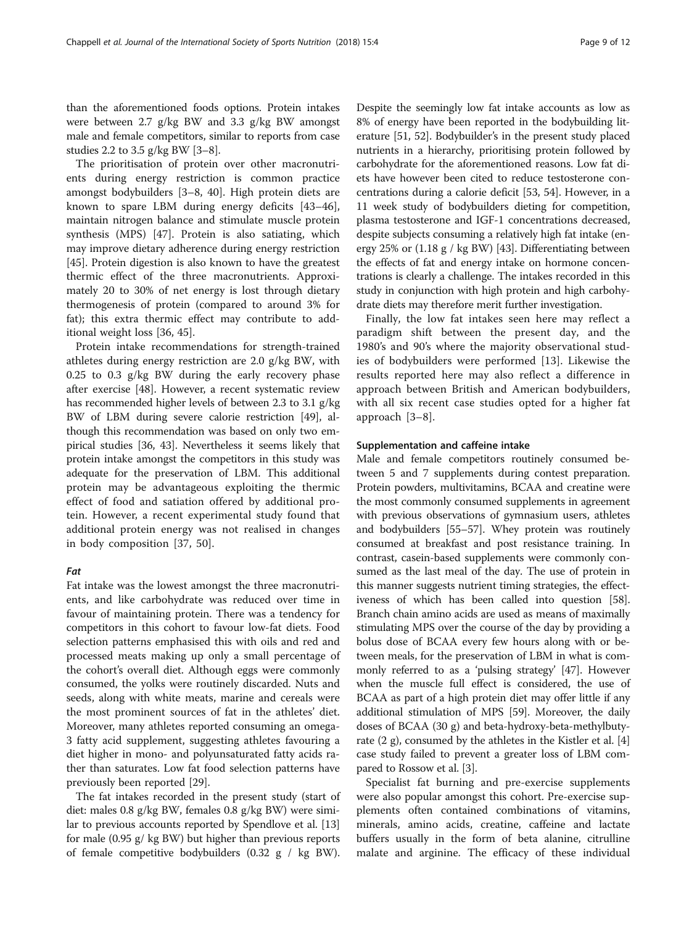than the aforementioned foods options. Protein intakes were between 2.7 g/kg BW and 3.3 g/kg BW amongst male and female competitors, similar to reports from case studies 2.2 to 3.5 g/kg BW [[3](#page-10-0)–[8](#page-10-0)].

The prioritisation of protein over other macronutrients during energy restriction is common practice amongst bodybuilders [\[3](#page-10-0)–[8](#page-10-0), [40](#page-10-0)]. High protein diets are known to spare LBM during energy deficits [[43](#page-10-0)–[46](#page-10-0)], maintain nitrogen balance and stimulate muscle protein synthesis (MPS) [[47\]](#page-11-0). Protein is also satiating, which may improve dietary adherence during energy restriction [[45\]](#page-10-0). Protein digestion is also known to have the greatest thermic effect of the three macronutrients. Approximately 20 to 30% of net energy is lost through dietary thermogenesis of protein (compared to around 3% for fat); this extra thermic effect may contribute to additional weight loss [[36](#page-10-0), [45](#page-10-0)].

Protein intake recommendations for strength-trained athletes during energy restriction are 2.0 g/kg BW, with 0.25 to 0.3 g/kg BW during the early recovery phase after exercise [[48\]](#page-11-0). However, a recent systematic review has recommended higher levels of between 2.3 to 3.1 g/kg BW of LBM during severe calorie restriction [\[49\]](#page-11-0), although this recommendation was based on only two empirical studies [[36](#page-10-0), [43](#page-10-0)]. Nevertheless it seems likely that protein intake amongst the competitors in this study was adequate for the preservation of LBM. This additional protein may be advantageous exploiting the thermic effect of food and satiation offered by additional protein. However, a recent experimental study found that additional protein energy was not realised in changes in body composition [[37,](#page-10-0) [50\]](#page-11-0).

## Fat

Fat intake was the lowest amongst the three macronutrients, and like carbohydrate was reduced over time in favour of maintaining protein. There was a tendency for competitors in this cohort to favour low-fat diets. Food selection patterns emphasised this with oils and red and processed meats making up only a small percentage of the cohort's overall diet. Although eggs were commonly consumed, the yolks were routinely discarded. Nuts and seeds, along with white meats, marine and cereals were the most prominent sources of fat in the athletes' diet. Moreover, many athletes reported consuming an omega-3 fatty acid supplement, suggesting athletes favouring a diet higher in mono- and polyunsaturated fatty acids rather than saturates. Low fat food selection patterns have previously been reported [[29](#page-10-0)].

The fat intakes recorded in the present study (start of diet: males 0.8 g/kg BW, females 0.8 g/kg BW) were similar to previous accounts reported by Spendlove et al. [[13](#page-10-0)] for male (0.95 g/ kg BW) but higher than previous reports of female competitive bodybuilders (0.32 g / kg BW).

Despite the seemingly low fat intake accounts as low as 8% of energy have been reported in the bodybuilding literature [\[51](#page-11-0), [52\]](#page-11-0). Bodybuilder's in the present study placed nutrients in a hierarchy, prioritising protein followed by carbohydrate for the aforementioned reasons. Low fat diets have however been cited to reduce testosterone concentrations during a calorie deficit [[53](#page-11-0), [54](#page-11-0)]. However, in a 11 week study of bodybuilders dieting for competition, plasma testosterone and IGF-1 concentrations decreased, despite subjects consuming a relatively high fat intake (energy 25% or (1.18 g / kg BW) [\[43\]](#page-10-0). Differentiating between the effects of fat and energy intake on hormone concentrations is clearly a challenge. The intakes recorded in this study in conjunction with high protein and high carbohydrate diets may therefore merit further investigation.

Finally, the low fat intakes seen here may reflect a paradigm shift between the present day, and the 1980's and 90's where the majority observational studies of bodybuilders were performed [[13\]](#page-10-0). Likewise the results reported here may also reflect a difference in approach between British and American bodybuilders, with all six recent case studies opted for a higher fat approach [\[3](#page-10-0)–[8](#page-10-0)].

## Supplementation and caffeine intake

Male and female competitors routinely consumed between 5 and 7 supplements during contest preparation. Protein powders, multivitamins, BCAA and creatine were the most commonly consumed supplements in agreement with previous observations of gymnasium users, athletes and bodybuilders [\[55](#page-11-0)–[57](#page-11-0)]. Whey protein was routinely consumed at breakfast and post resistance training. In contrast, casein-based supplements were commonly consumed as the last meal of the day. The use of protein in this manner suggests nutrient timing strategies, the effectiveness of which has been called into question [[58](#page-11-0)]. Branch chain amino acids are used as means of maximally stimulating MPS over the course of the day by providing a bolus dose of BCAA every few hours along with or between meals, for the preservation of LBM in what is commonly referred to as a 'pulsing strategy' [[47](#page-11-0)]. However when the muscle full effect is considered, the use of BCAA as part of a high protein diet may offer little if any additional stimulation of MPS [\[59\]](#page-11-0). Moreover, the daily doses of BCAA (30 g) and beta-hydroxy-beta-methylbutyrate (2 g), consumed by the athletes in the Kistler et al. [[4](#page-10-0)] case study failed to prevent a greater loss of LBM compared to Rossow et al. [\[3\]](#page-10-0).

Specialist fat burning and pre-exercise supplements were also popular amongst this cohort. Pre-exercise supplements often contained combinations of vitamins, minerals, amino acids, creatine, caffeine and lactate buffers usually in the form of beta alanine, citrulline malate and arginine. The efficacy of these individual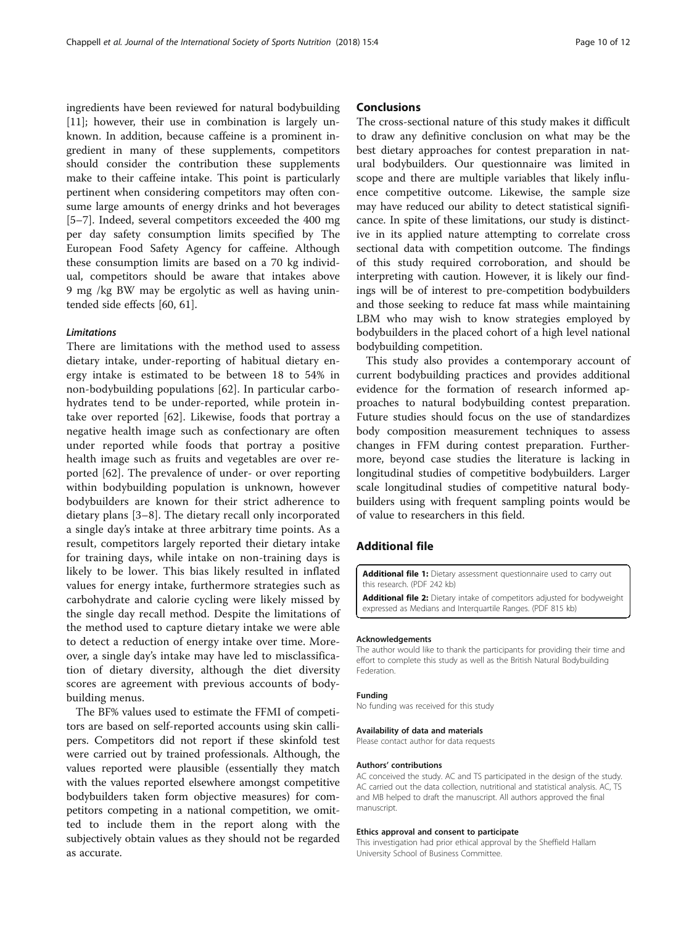<span id="page-9-0"></span>ingredients have been reviewed for natural bodybuilding [[11\]](#page-10-0); however, their use in combination is largely unknown. In addition, because caffeine is a prominent ingredient in many of these supplements, competitors should consider the contribution these supplements make to their caffeine intake. This point is particularly pertinent when considering competitors may often consume large amounts of energy drinks and hot beverages [[5](#page-10-0)–[7\]](#page-10-0). Indeed, several competitors exceeded the 400 mg per day safety consumption limits specified by The European Food Safety Agency for caffeine. Although these consumption limits are based on a 70 kg individual, competitors should be aware that intakes above 9 mg /kg BW may be ergolytic as well as having unintended side effects [[60](#page-11-0), [61](#page-11-0)].

## Limitations

There are limitations with the method used to assess dietary intake, under-reporting of habitual dietary energy intake is estimated to be between 18 to 54% in non-bodybuilding populations [[62\]](#page-11-0). In particular carbohydrates tend to be under-reported, while protein intake over reported [[62](#page-11-0)]. Likewise, foods that portray a negative health image such as confectionary are often under reported while foods that portray a positive health image such as fruits and vegetables are over reported [\[62](#page-11-0)]. The prevalence of under- or over reporting within bodybuilding population is unknown, however bodybuilders are known for their strict adherence to dietary plans [[3](#page-10-0)–[8\]](#page-10-0). The dietary recall only incorporated a single day's intake at three arbitrary time points. As a result, competitors largely reported their dietary intake for training days, while intake on non-training days is likely to be lower. This bias likely resulted in inflated values for energy intake, furthermore strategies such as carbohydrate and calorie cycling were likely missed by the single day recall method. Despite the limitations of the method used to capture dietary intake we were able to detect a reduction of energy intake over time. Moreover, a single day's intake may have led to misclassification of dietary diversity, although the diet diversity scores are agreement with previous accounts of bodybuilding menus.

The BF% values used to estimate the FFMI of competitors are based on self-reported accounts using skin callipers. Competitors did not report if these skinfold test were carried out by trained professionals. Although, the values reported were plausible (essentially they match with the values reported elsewhere amongst competitive bodybuilders taken form objective measures) for competitors competing in a national competition, we omitted to include them in the report along with the subjectively obtain values as they should not be regarded as accurate.

## **Conclusions**

The cross-sectional nature of this study makes it difficult to draw any definitive conclusion on what may be the best dietary approaches for contest preparation in natural bodybuilders. Our questionnaire was limited in scope and there are multiple variables that likely influence competitive outcome. Likewise, the sample size may have reduced our ability to detect statistical significance. In spite of these limitations, our study is distinctive in its applied nature attempting to correlate cross sectional data with competition outcome. The findings of this study required corroboration, and should be interpreting with caution. However, it is likely our findings will be of interest to pre-competition bodybuilders and those seeking to reduce fat mass while maintaining LBM who may wish to know strategies employed by bodybuilders in the placed cohort of a high level national bodybuilding competition.

This study also provides a contemporary account of current bodybuilding practices and provides additional evidence for the formation of research informed approaches to natural bodybuilding contest preparation. Future studies should focus on the use of standardizes body composition measurement techniques to assess changes in FFM during contest preparation. Furthermore, beyond case studies the literature is lacking in longitudinal studies of competitive bodybuilders. Larger scale longitudinal studies of competitive natural bodybuilders using with frequent sampling points would be of value to researchers in this field.

## Additional file

[Additional file 1:](dx.doi.org/10.1186/s12970-018-0209-z) Dietary assessment questionnaire used to carry out this research. (PDF 242 kb)

[Additional file 2:](dx.doi.org/10.1186/s12970-018-0209-z) Dietary intake of competitors adjusted for bodyweight expressed as Medians and Interquartile Ranges. (PDF 815 kb)

#### Acknowledgements

The author would like to thank the participants for providing their time and effort to complete this study as well as the British Natural Bodybuilding Federation.

#### Funding

No funding was received for this study

#### Availability of data and materials

Please contact author for data requests

#### Authors' contributions

AC conceived the study. AC and TS participated in the design of the study. AC carried out the data collection, nutritional and statistical analysis. AC, TS and MB helped to draft the manuscript. All authors approved the final manuscript.

#### Ethics approval and consent to participate

This investigation had prior ethical approval by the Sheffield Hallam University School of Business Committee.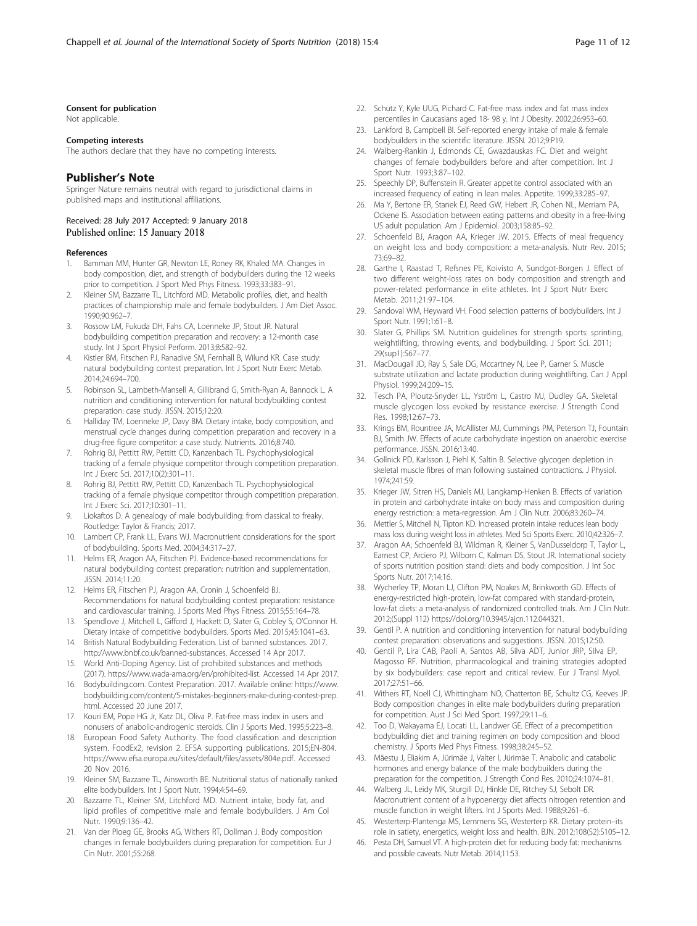#### <span id="page-10-0"></span>Consent for publication

Not applicable.

#### Competing interests

The authors declare that they have no competing interests.

#### Publisher's Note

Springer Nature remains neutral with regard to jurisdictional claims in published maps and institutional affiliations.

#### Received: 28 July 2017 Accepted: 9 January 2018 Published online: 15 January 2018

#### References

- 1. Bamman MM, Hunter GR, Newton LE, Roney RK, Khaled MA. Changes in body composition, diet, and strength of bodybuilders during the 12 weeks prior to competition. J Sport Med Phys Fitness. 1993;33:383–91.
- 2. Kleiner SM, Bazzarre TL, Litchford MD. Metabolic profiles, diet, and health practices of championship male and female bodybuilders. J Am Diet Assoc. 1990;90:962–7.
- 3. Rossow LM, Fukuda DH, Fahs CA, Loenneke JP, Stout JR. Natural bodybuilding competition preparation and recovery: a 12-month case study. Int J Sport Physiol Perform. 2013;8:582–92.
- Kistler BM, Fitschen PJ, Ranadive SM, Fernhall B, Wilund KR. Case study: natural bodybuilding contest preparation. Int J Sport Nutr Exerc Metab. 2014;24:694–700.
- 5. Robinson SL, Lambeth-Mansell A, Gillibrand G, Smith-Ryan A, Bannock L. A nutrition and conditioning intervention for natural bodybuilding contest preparation: case study. JISSN. 2015;12:20.
- 6. Halliday TM, Loenneke JP, Davy BM. Dietary intake, body composition, and menstrual cycle changes during competition preparation and recovery in a drug-free figure competitor: a case study. Nutrients. 2016;8:740.
- 7. Rohrig BJ, Pettitt RW, Pettitt CD, Kanzenbach TL. Psychophysiological tracking of a female physique competitor through competition preparation. Int J Exerc Sci. 2017;10(2):301–11.
- 8. Rohrig BJ, Pettitt RW, Pettitt CD, Kanzenbach TL. Psychophysiological tracking of a female physique competitor through competition preparation. Int J Exerc Sci. 2017;10:301–11.
- 9. Liokaftos D. A genealogy of male bodybuilding: from classical to freaky. Routledge: Taylor & Francis; 2017.
- 10. Lambert CP, Frank LL, Evans WJ. Macronutrient considerations for the sport of bodybuilding. Sports Med. 2004;34:317–27.
- 11. Helms ER, Aragon AA, Fitschen PJ. Evidence-based recommendations for natural bodybuilding contest preparation: nutrition and supplementation. JISSN. 2014;11:20.
- 12. Helms ER, Fitschen PJ, Aragon AA, Cronin J, Schoenfeld BJ. Recommendations for natural bodybuilding contest preparation: resistance and cardiovascular training. J Sports Med Phys Fitness. 2015;55:164–78.
- 13. Spendlove J, Mitchell L, Gifford J, Hackett D, Slater G, Cobley S, O'Connor H. Dietary intake of competitive bodybuilders. Sports Med. 2015;45:1041–63.
- 14. British Natural Bodybuilding Federation. List of banned substances. 2017. [http://www.bnbf.co.uk/banned-substances.](http://www.bnbf.co.uk/banned-substances) Accessed 14 Apr 2017.
- 15. World Anti-Doping Agency. List of prohibited substances and methods (2017). [https://www.wada-ama.org/en/prohibited-list.](https://www.wada-ama.org/en/prohibited-list) Accessed 14 Apr 2017.
- 16. Bodybuilding.com. Contest Preparation. 2017. Available online: [https://www.](https://www.bodybuilding.com/content/5-mistakes-beginners-make-during-contest-prep.html) [bodybuilding.com/content/5-mistakes-beginners-make-during-contest-prep.](https://www.bodybuilding.com/content/5-mistakes-beginners-make-during-contest-prep.html) [html.](https://www.bodybuilding.com/content/5-mistakes-beginners-make-during-contest-prep.html) Accessed 20 June 2017.
- 17. Kouri EM, Pope HG Jr, Katz DL, Oliva P. Fat-free mass index in users and nonusers of anabolic-androgenic steroids. Clin J Sports Med. 1995;5:223–8.
- 18. European Food Safety Authority. The food classification and description system. FoodEx2, revision 2. EFSA supporting publications. 2015;EN-804. <https://www.efsa.europa.eu/sites/default/files/assets/804e.pdf>. Accessed 20 Nov 2016.
- 19. Kleiner SM, Bazzarre TL, Ainsworth BE. Nutritional status of nationally ranked elite bodybuilders. Int J Sport Nutr. 1994;4:54–69.
- 20. Bazzarre TL, Kleiner SM, Litchford MD. Nutrient intake, body fat, and lipid profiles of competitive male and female bodybuilders. J Am Col Nutr. 1990;9:136–42.
- 21. Van der Ploeg GE, Brooks AG, Withers RT, Dollman J. Body composition changes in female bodybuilders during preparation for competition. Eur J Cin Nutr. 2001;55:268.
- 22. Schutz Y, Kyle UUG, Pichard C. Fat-free mass index and fat mass index percentiles in Caucasians aged 18- 98 y. Int J Obesity. 2002;26:953–60.
- Lankford B, Campbell BI. Self-reported energy intake of male & female bodybuilders in the scientific literature. JISSN. 2012;9:P19.
- 24. Walberg-Rankin J, Edmonds CE, Gwazdauskas FC. Diet and weight changes of female bodybuilders before and after competition. Int J Sport Nutr. 1993;3:87–102.
- 25. Speechly DP, Buffenstein R. Greater appetite control associated with an increased frequency of eating in lean males. Appetite. 1999;33:285–97.
- 26. Ma Y, Bertone ER, Stanek EJ, Reed GW, Hebert JR, Cohen NL, Merriam PA, Ockene IS. Association between eating patterns and obesity in a free-living US adult population. Am J Epidemiol. 2003;158:85–92.
- 27. Schoenfeld BJ, Aragon AA, Krieger JW. 2015. Effects of meal frequency on weight loss and body composition: a meta-analysis. Nutr Rev. 2015; 73:69–82.
- 28. Garthe I, Raastad T, Refsnes PE, Koivisto A, Sundgot-Borgen J. Effect of two different weight-loss rates on body composition and strength and power-related performance in elite athletes. Int J Sport Nutr Exerc Metab. 2011;21:97–104.
- 29. Sandoval WM, Heyward VH. Food selection patterns of bodybuilders. Int J Sport Nutr. 1991;1:61–8.
- 30. Slater G, Phillips SM. Nutrition guidelines for strength sports: sprinting, weightlifting, throwing events, and bodybuilding. J Sport Sci. 2011; 29(sup1):S67–77.
- 31. MacDougall JD, Ray S, Sale DG, Mccartney N, Lee P, Garner S. Muscle substrate utilization and lactate production during weightlifting. Can J Appl Physiol. 1999;24:209–15.
- 32. Tesch PA, Ploutz-Snyder LL, Yström L, Castro MJ, Dudley GA. Skeletal muscle glycogen loss evoked by resistance exercise. J Strength Cond Res. 1998;12:67–73.
- 33. Krings BM, Rountree JA, McAllister MJ, Cummings PM, Peterson TJ, Fountain BJ, Smith JW. Effects of acute carbohydrate ingestion on anaerobic exercise performance. JISSN. 2016;13:40.
- 34. Gollnick PD, Karlsson J, Piehl K, Saltin B. Selective glycogen depletion in skeletal muscle fibres of man following sustained contractions. J Physiol. 1974;241:59.
- 35. Krieger JW, Sitren HS, Daniels MJ, Langkamp-Henken B. Effects of variation in protein and carbohydrate intake on body mass and composition during energy restriction: a meta-regression. Am J Clin Nutr. 2006;83:260–74.
- 36. Mettler S, Mitchell N, Tipton KD. Increased protein intake reduces lean body mass loss during weight loss in athletes. Med Sci Sports Exerc. 2010;42:326–7.
- 37. Aragon AA, Schoenfeld BJ, Wildman R, Kleiner S, VanDusseldorp T, Taylor L, Earnest CP, Arciero PJ, Wilborn C, Kalman DS, Stout JR. International society of sports nutrition position stand: diets and body composition. J Int Soc Sports Nutr. 2017;14:16.
- 38. Wycherley TP, Moran LJ, Clifton PM, Noakes M, Brinkworth GD. Effects of energy-restricted high-protein, low-fat compared with standard-protein, low-fat diets: a meta-analysis of randomized controlled trials. Am J Clin Nutr. 2012;(Suppl 112) [https://doi.org/10.3945/ajcn.112.044321.](http://dx.doi.org/10.3945/ajcn.112.044321)
- 39. Gentil P. A nutrition and conditioning intervention for natural bodybuilding contest preparation: observations and suggestions. JISSN. 2015;12:50.
- 40. Gentil P, Lira CAB, Paoli A, Santos AB, Silva ADT, Junior JRP, Silva EP, Magosso RF. Nutrition, pharmacological and training strategies adopted by six bodybuilders: case report and critical review. Eur J Transl Myol. 2017;27:51–66.
- 41. Withers RT, Noell CJ, Whittingham NO, Chatterton BE, Schultz CG, Keeves JP. Body composition changes in elite male bodybuilders during preparation for competition. Aust J Sci Med Sport. 1997;29:11–6.
- 42. Too D, Wakayama EJ, Locati LL, Landwer GE. Effect of a precompetition bodybuilding diet and training regimen on body composition and blood chemistry. J Sports Med Phys Fitness. 1998;38:245–52.
- 43. Mäestu J, Eliakim A, Jürimäe J, Valter I, Jürimäe T. Anabolic and catabolic hormones and energy balance of the male bodybuilders during the preparation for the competition. J Strength Cond Res. 2010;24:1074–81.
- 44. Walberg JL, Leidy MK, Sturgill DJ, Hinkle DE, Ritchey SJ, Sebolt DR. Macronutrient content of a hypoenergy diet affects nitrogen retention and muscle function in weight lifters. Int J Sports Med. 1988;9:261–6.
- 45. Westerterp-Plantenga MS, Lemmens SG, Westerterp KR. Dietary protein–its role in satiety, energetics, weight loss and health. BJN. 2012;108(S2):S105–12.
- 46. Pesta DH, Samuel VT. A high-protein diet for reducing body fat: mechanisms and possible caveats. Nutr Metab. 2014;11:53.